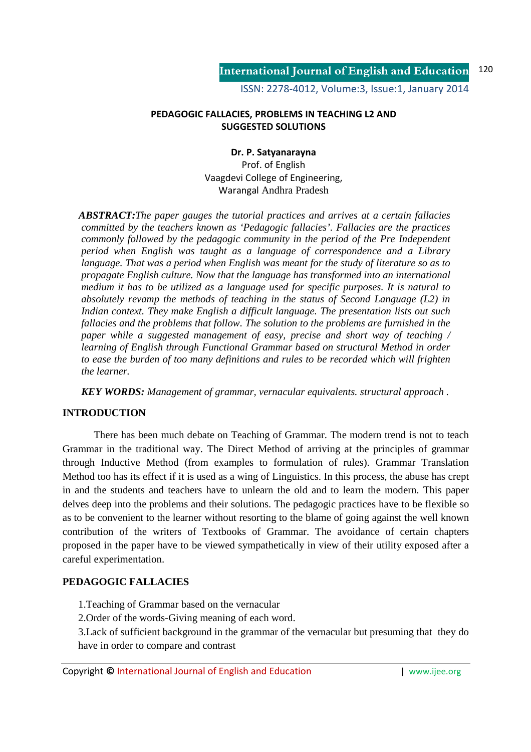#### **PEDAGOGIC FALLACIES, PROBLEMS IN TEACHING L2 AND SUGGESTED SOLUTIONS**

#### **Dr. P. Satyanarayna**

Prof. of English Vaagdevi College of Engineering, Warangal Andhra Pradesh

*ABSTRACT:The paper gauges the tutorial practices and arrives at a certain fallacies committed by the teachers known as 'Pedagogic fallacies'. Fallacies are the practices commonly followed by the pedagogic community in the period of the Pre Independent period when English was taught as a language of correspondence and a Library language. That was a period when English was meant for the study of literature so as to propagate English culture. Now that the language has transformed into an international medium it has to be utilized as a language used for specific purposes. It is natural to absolutely revamp the methods of teaching in the status of Second Language (L2) in Indian context. They make English a difficult language. The presentation lists out such fallacies and the problems that follow. The solution to the problems are furnished in the paper while a suggested management of easy, precise and short way of teaching / learning of English through Functional Grammar based on structural Method in order to ease the burden of too many definitions and rules to be recorded which will frighten the learner.* 

*KEY WORDS: Management of grammar, vernacular equivalents. structural approach .*

## **INTRODUCTION**

 There has been much debate on Teaching of Grammar. The modern trend is not to teach Grammar in the traditional way. The Direct Method of arriving at the principles of grammar through Inductive Method (from examples to formulation of rules). Grammar Translation Method too has its effect if it is used as a wing of Linguistics. In this process, the abuse has crept in and the students and teachers have to unlearn the old and to learn the modern. This paper delves deep into the problems and their solutions. The pedagogic practices have to be flexible so as to be convenient to the learner without resorting to the blame of going against the well known contribution of the writers of Textbooks of Grammar. The avoidance of certain chapters proposed in the paper have to be viewed sympathetically in view of their utility exposed after a careful experimentation.

## **PEDAGOGIC FALLACIES**

- 1.Teaching of Grammar based on the vernacular
- 2.Order of the words-Giving meaning of each word.

3.Lack of sufficient background in the grammar of the vernacular but presuming that they do have in order to compare and contrast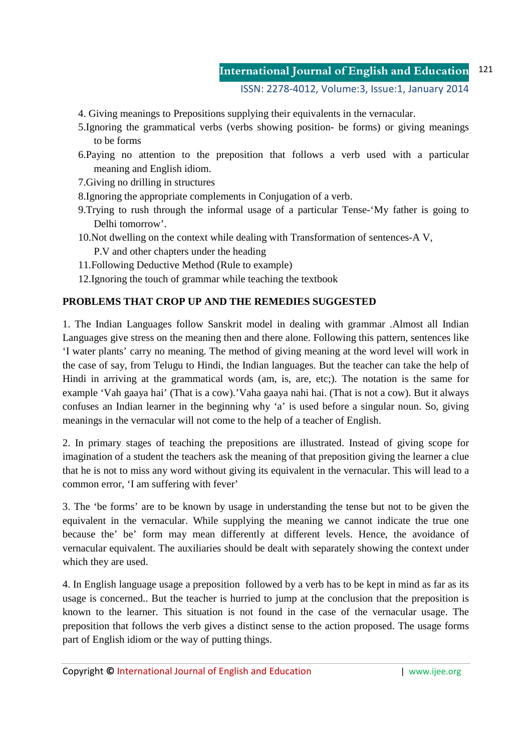#### **International Journal of English and Education** 121

ISSN: 2278-4012, Volume:3, Issue:1, January 2014

- 4. Giving meanings to Prepositions supplying their equivalents in the vernacular.
- 5.Ignoring the grammatical verbs (verbs showing position- be forms) or giving meanings to be forms
- 6.Paying no attention to the preposition that follows a verb used with a particular meaning and English idiom.
- 7.Giving no drilling in structures
- 8.Ignoring the appropriate complements in Conjugation of a verb.
- 9.Trying to rush through the informal usage of a particular Tense-'My father is going to Delhi tomorrow'.
- 10.Not dwelling on the context while dealing with Transformation of sentences-A V, P.V and other chapters under the heading
- 11.Following Deductive Method (Rule to example)
- 12.Ignoring the touch of grammar while teaching the textbook

## **PROBLEMS THAT CROP UP AND THE REMEDIES SUGGESTED**

1. The Indian Languages follow Sanskrit model in dealing with grammar .Almost all Indian Languages give stress on the meaning then and there alone. Following this pattern, sentences like 'I water plants' carry no meaning. The method of giving meaning at the word level will work in the case of say, from Telugu to Hindi, the Indian languages. But the teacher can take the help of Hindi in arriving at the grammatical words (am, is, are, etc;). The notation is the same for example 'Vah gaaya hai' (That is a cow).'Vaha gaaya nahi hai. (That is not a cow). But it always confuses an Indian learner in the beginning why 'a' is used before a singular noun. So, giving meanings in the vernacular will not come to the help of a teacher of English.

2. In primary stages of teaching the prepositions are illustrated. Instead of giving scope for imagination of a student the teachers ask the meaning of that preposition giving the learner a clue that he is not to miss any word without giving its equivalent in the vernacular. This will lead to a common error, 'I am suffering with fever'

3. The 'be forms' are to be known by usage in understanding the tense but not to be given the equivalent in the vernacular. While supplying the meaning we cannot indicate the true one because the' be' form may mean differently at different levels. Hence, the avoidance of vernacular equivalent. The auxiliaries should be dealt with separately showing the context under which they are used.

4. In English language usage a preposition followed by a verb has to be kept in mind as far as its usage is concerned.. But the teacher is hurried to jump at the conclusion that the preposition is known to the learner. This situation is not found in the case of the vernacular usage. The preposition that follows the verb gives a distinct sense to the action proposed. The usage forms part of English idiom or the way of putting things.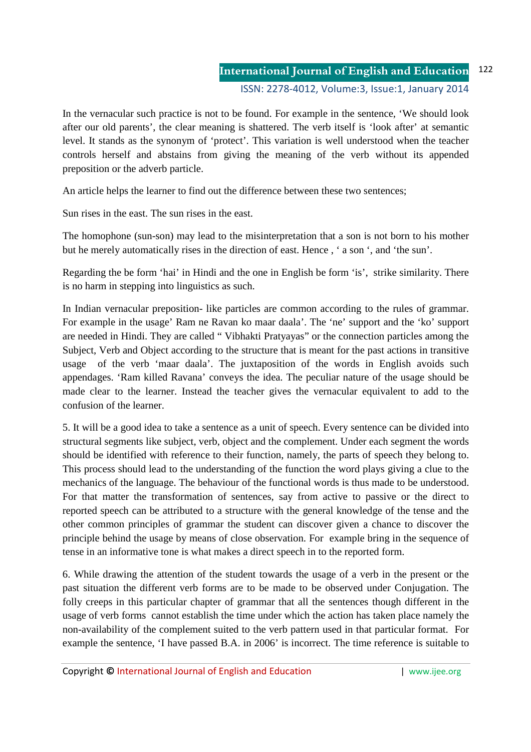In the vernacular such practice is not to be found. For example in the sentence, 'We should look after our old parents', the clear meaning is shattered. The verb itself is 'look after' at semantic level. It stands as the synonym of 'protect'. This variation is well understood when the teacher controls herself and abstains from giving the meaning of the verb without its appended preposition or the adverb particle.

An article helps the learner to find out the difference between these two sentences;

Sun rises in the east. The sun rises in the east.

The homophone (sun-son) may lead to the misinterpretation that a son is not born to his mother but he merely automatically rises in the direction of east. Hence , ' a son ', and 'the sun'.

Regarding the be form 'hai' in Hindi and the one in English be form 'is', strike similarity. There is no harm in stepping into linguistics as such.

In Indian vernacular preposition- like particles are common according to the rules of grammar. For example in the usage' Ram ne Ravan ko maar daala'. The 'ne' support and the 'ko' support are needed in Hindi. They are called " Vibhakti Pratyayas" or the connection particles among the Subject, Verb and Object according to the structure that is meant for the past actions in transitive usage of the verb 'maar daala'. The juxtaposition of the words in English avoids such appendages. 'Ram killed Ravana' conveys the idea. The peculiar nature of the usage should be made clear to the learner. Instead the teacher gives the vernacular equivalent to add to the confusion of the learner.

5. It will be a good idea to take a sentence as a unit of speech. Every sentence can be divided into structural segments like subject, verb, object and the complement. Under each segment the words should be identified with reference to their function, namely, the parts of speech they belong to. This process should lead to the understanding of the function the word plays giving a clue to the mechanics of the language. The behaviour of the functional words is thus made to be understood. For that matter the transformation of sentences, say from active to passive or the direct to reported speech can be attributed to a structure with the general knowledge of the tense and the other common principles of grammar the student can discover given a chance to discover the principle behind the usage by means of close observation. For example bring in the sequence of tense in an informative tone is what makes a direct speech in to the reported form.

6. While drawing the attention of the student towards the usage of a verb in the present or the past situation the different verb forms are to be made to be observed under Conjugation. The folly creeps in this particular chapter of grammar that all the sentences though different in the usage of verb forms cannot establish the time under which the action has taken place namely the non-availability of the complement suited to the verb pattern used in that particular format. For example the sentence, 'I have passed B.A. in 2006' is incorrect. The time reference is suitable to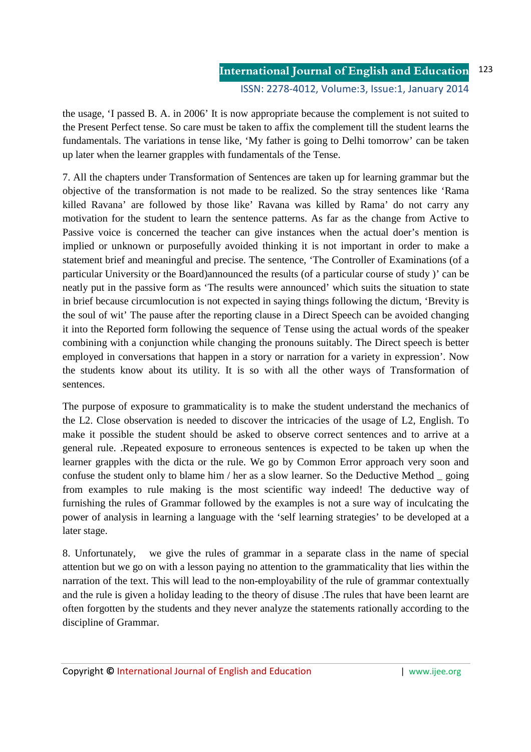the usage, 'I passed B. A. in 2006' It is now appropriate because the complement is not suited to the Present Perfect tense. So care must be taken to affix the complement till the student learns the fundamentals. The variations in tense like, 'My father is going to Delhi tomorrow' can be taken up later when the learner grapples with fundamentals of the Tense.

7. All the chapters under Transformation of Sentences are taken up for learning grammar but the objective of the transformation is not made to be realized. So the stray sentences like 'Rama killed Ravana' are followed by those like' Ravana was killed by Rama' do not carry any motivation for the student to learn the sentence patterns. As far as the change from Active to Passive voice is concerned the teacher can give instances when the actual doer's mention is implied or unknown or purposefully avoided thinking it is not important in order to make a statement brief and meaningful and precise. The sentence, 'The Controller of Examinations (of a particular University or the Board)announced the results (of a particular course of study )' can be neatly put in the passive form as 'The results were announced' which suits the situation to state in brief because circumlocution is not expected in saying things following the dictum, 'Brevity is the soul of wit' The pause after the reporting clause in a Direct Speech can be avoided changing it into the Reported form following the sequence of Tense using the actual words of the speaker combining with a conjunction while changing the pronouns suitably. The Direct speech is better employed in conversations that happen in a story or narration for a variety in expression'. Now the students know about its utility. It is so with all the other ways of Transformation of sentences.

The purpose of exposure to grammaticality is to make the student understand the mechanics of the L2. Close observation is needed to discover the intricacies of the usage of L2, English. To make it possible the student should be asked to observe correct sentences and to arrive at a general rule. .Repeated exposure to erroneous sentences is expected to be taken up when the learner grapples with the dicta or the rule. We go by Common Error approach very soon and confuse the student only to blame him / her as a slow learner. So the Deductive Method \_ going from examples to rule making is the most scientific way indeed! The deductive way of furnishing the rules of Grammar followed by the examples is not a sure way of inculcating the power of analysis in learning a language with the 'self learning strategies' to be developed at a later stage.

8. Unfortunately, we give the rules of grammar in a separate class in the name of special attention but we go on with a lesson paying no attention to the grammaticality that lies within the narration of the text. This will lead to the non-employability of the rule of grammar contextually and the rule is given a holiday leading to the theory of disuse .The rules that have been learnt are often forgotten by the students and they never analyze the statements rationally according to the discipline of Grammar.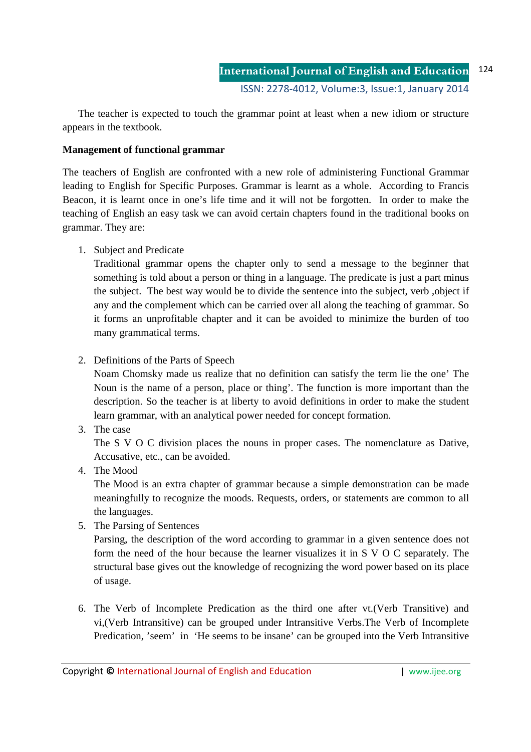The teacher is expected to touch the grammar point at least when a new idiom or structure appears in the textbook.

#### **Management of functional grammar**

The teachers of English are confronted with a new role of administering Functional Grammar leading to English for Specific Purposes. Grammar is learnt as a whole. According to Francis Beacon, it is learnt once in one's life time and it will not be forgotten. In order to make the teaching of English an easy task we can avoid certain chapters found in the traditional books on grammar. They are:

1. Subject and Predicate

Traditional grammar opens the chapter only to send a message to the beginner that something is told about a person or thing in a language. The predicate is just a part minus the subject. The best way would be to divide the sentence into the subject, verb ,object if any and the complement which can be carried over all along the teaching of grammar. So it forms an unprofitable chapter and it can be avoided to minimize the burden of too many grammatical terms.

2. Definitions of the Parts of Speech

Noam Chomsky made us realize that no definition can satisfy the term lie the one' The Noun is the name of a person, place or thing'. The function is more important than the description. So the teacher is at liberty to avoid definitions in order to make the student learn grammar, with an analytical power needed for concept formation.

3. The case

The S V O C division places the nouns in proper cases. The nomenclature as Dative, Accusative, etc., can be avoided.

4. The Mood

The Mood is an extra chapter of grammar because a simple demonstration can be made meaningfully to recognize the moods. Requests, orders, or statements are common to all the languages.

5. The Parsing of Sentences

Parsing, the description of the word according to grammar in a given sentence does not form the need of the hour because the learner visualizes it in S V O C separately. The structural base gives out the knowledge of recognizing the word power based on its place of usage.

6. The Verb of Incomplete Predication as the third one after vt.(Verb Transitive) and vi,(Verb Intransitive) can be grouped under Intransitive Verbs.The Verb of Incomplete Predication, 'seem' in 'He seems to be insane' can be grouped into the Verb Intransitive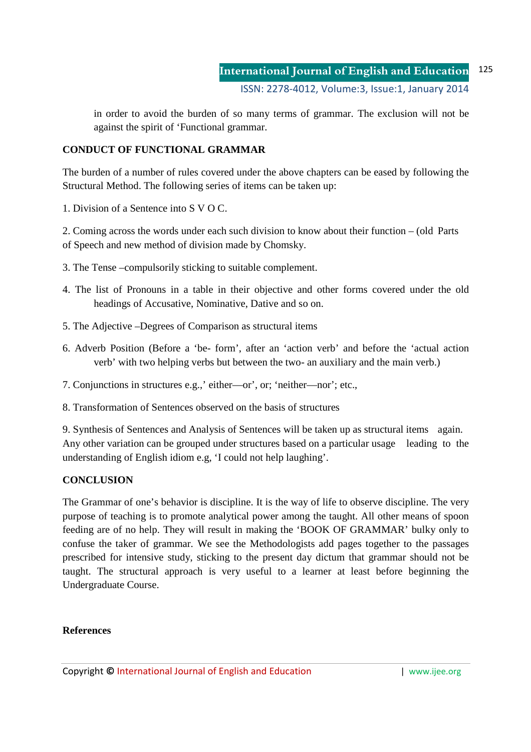in order to avoid the burden of so many terms of grammar. The exclusion will not be against the spirit of 'Functional grammar.

# **CONDUCT OF FUNCTIONAL GRAMMAR**

The burden of a number of rules covered under the above chapters can be eased by following the Structural Method. The following series of items can be taken up:

1. Division of a Sentence into S V O C.

2. Coming across the words under each such division to know about their function – (old Parts of Speech and new method of division made by Chomsky.

- 3. The Tense –compulsorily sticking to suitable complement.
- 4. The list of Pronouns in a table in their objective and other forms covered under the old headings of Accusative, Nominative, Dative and so on.
- 5. The Adjective –Degrees of Comparison as structural items
- 6. Adverb Position (Before a 'be- form', after an 'action verb' and before the 'actual action verb' with two helping verbs but between the two- an auxiliary and the main verb.)
- 7. Conjunctions in structures e.g.,' either—or', or; 'neither—nor'; etc.,
- 8. Transformation of Sentences observed on the basis of structures

9. Synthesis of Sentences and Analysis of Sentences will be taken up as structural items again. Any other variation can be grouped under structures based on a particular usage leading to the understanding of English idiom e.g, 'I could not help laughing'.

# **CONCLUSION**

The Grammar of one's behavior is discipline. It is the way of life to observe discipline. The very purpose of teaching is to promote analytical power among the taught. All other means of spoon feeding are of no help. They will result in making the 'BOOK OF GRAMMAR' bulky only to confuse the taker of grammar. We see the Methodologists add pages together to the passages prescribed for intensive study, sticking to the present day dictum that grammar should not be taught. The structural approach is very useful to a learner at least before beginning the Undergraduate Course.

## **References**